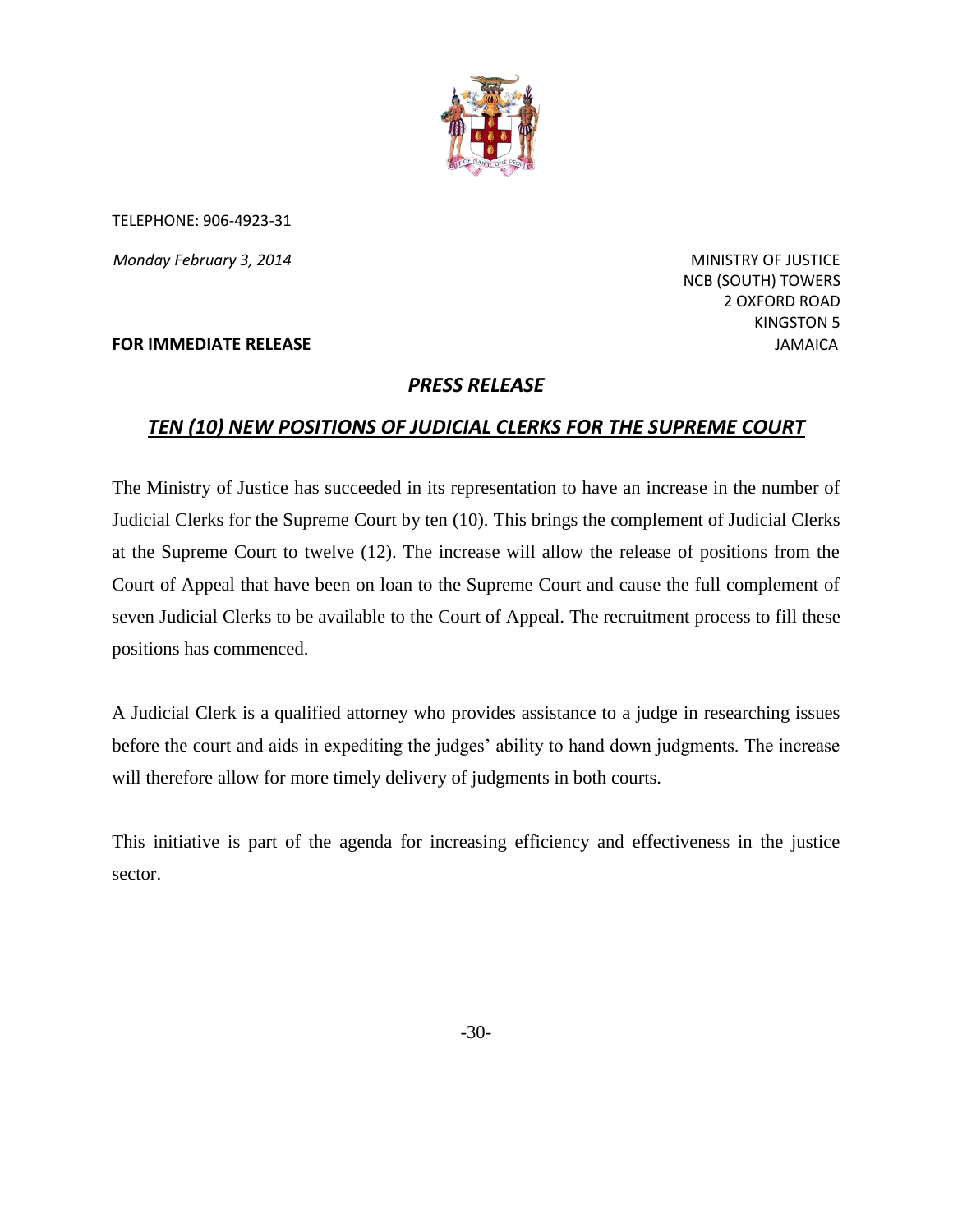

TELEPHONE: 906-4923-31

**Monday February 3, 2014** MINISTRY OF JUSTICE

**FOR IMMEDIATE RELEASE JAMAICA JAMAICA JAMAICA** 

 NCB (SOUTH) TOWERS 2 OXFORD ROAD KINGSTON 5

## *PRESS RELEASE*

## *TEN (10) NEW POSITIONS OF JUDICIAL CLERKS FOR THE SUPREME COURT*

The Ministry of Justice has succeeded in its representation to have an increase in the number of Judicial Clerks for the Supreme Court by ten (10). This brings the complement of Judicial Clerks at the Supreme Court to twelve (12). The increase will allow the release of positions from the Court of Appeal that have been on loan to the Supreme Court and cause the full complement of seven Judicial Clerks to be available to the Court of Appeal. The recruitment process to fill these positions has commenced.

A Judicial Clerk is a qualified attorney who provides assistance to a judge in researching issues before the court and aids in expediting the judges' ability to hand down judgments. The increase will therefore allow for more timely delivery of judgments in both courts.

This initiative is part of the agenda for increasing efficiency and effectiveness in the justice sector.